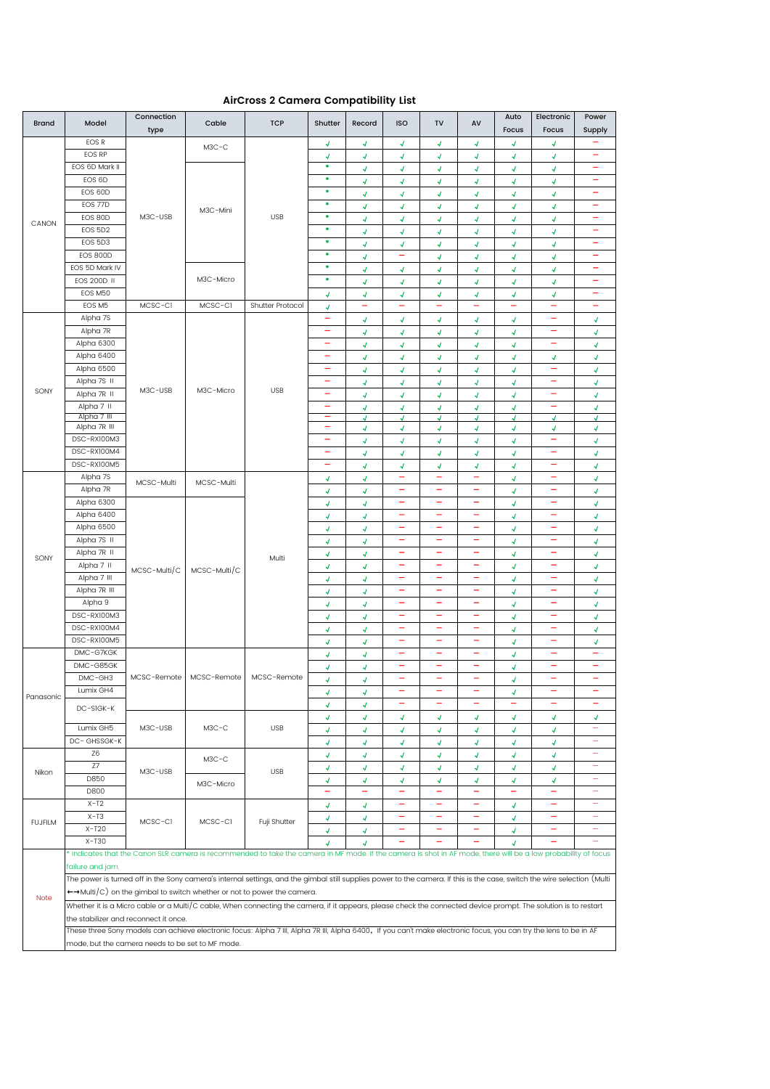## **AirCross 2 Camera Compatibility List**

| <b>Brand</b>   | Model                                                                                                                                                                                                      | Connection                                       | Cable                      | <b>TCP</b>       | Shutter                    | Record                                     | <b>ISO</b>                   | <b>TV</b>                            | AV                       | Auto<br>Focus            | Electronic               | Power                         |
|----------------|------------------------------------------------------------------------------------------------------------------------------------------------------------------------------------------------------------|--------------------------------------------------|----------------------------|------------------|----------------------------|--------------------------------------------|------------------------------|--------------------------------------|--------------------------|--------------------------|--------------------------|-------------------------------|
|                | EOS R                                                                                                                                                                                                      | type                                             |                            |                  |                            |                                            |                              |                                      |                          |                          | Focus                    | Supply<br><u>.</u>            |
|                | <b>EOS RP</b>                                                                                                                                                                                              |                                                  | $M3C-C$                    |                  | 4                          | 4                                          | 4<br>4                       | 4<br>4                               | √<br>4                   | 4                        | 4<br>4                   | -                             |
|                | EOS 6D Mark II                                                                                                                                                                                             |                                                  |                            |                  | 4<br>۰                     | 4<br>$\overline{A}$                        | ∢                            | √                                    | 4                        | 4<br>√                   | 4                        |                               |
|                | EOS 6D                                                                                                                                                                                                     |                                                  |                            |                  | ٠                          | $\overline{\mathcal{A}}$                   | 4                            | 4                                    | $\mathcal{A}$            | Ā.                       | 4                        | $\equiv$                      |
|                | EOS 60D                                                                                                                                                                                                    |                                                  |                            |                  | ۰                          | ∢                                          | 4                            | 4                                    | √                        | 4                        | 4                        | -                             |
|                | EOS 77D                                                                                                                                                                                                    |                                                  |                            |                  | ٠                          | √                                          | √                            | 4                                    | √                        | √                        | 4                        | $\equiv$                      |
|                | EOS 80D                                                                                                                                                                                                    | M3C-USB                                          | M3C-Mini                   | <b>USB</b>       | ٠                          | √                                          | √                            | 4                                    | 4                        | √                        | 4                        | ÷                             |
| CANON          | EOS 5D2                                                                                                                                                                                                    |                                                  | M3C-Micro                  |                  | ۰                          | $\overline{A}$                             | √                            | 4                                    | 4                        | √                        | √                        | -                             |
|                | EOS 5D3                                                                                                                                                                                                    |                                                  |                            |                  | ٠                          | $\overline{\mathcal{A}}$                   | 4                            | 4                                    | 4                        | 4                        | 4                        | -                             |
|                | <b>EOS 800D</b>                                                                                                                                                                                            |                                                  |                            |                  | ۰                          | √                                          | $\overline{\phantom{m}}$     | 4                                    | 4                        | 4                        | 4                        | $\equiv$                      |
|                | EOS 5D Mark IV                                                                                                                                                                                             |                                                  |                            |                  | ۰                          | √                                          | √                            | √                                    | √                        | 4                        | 4                        | -                             |
|                | <b>EOS 200D II</b>                                                                                                                                                                                         |                                                  |                            |                  | ۰                          | √                                          | $\overline{\mathcal{A}}$     | 4                                    | √                        | $\mathcal{A}$            | 4                        | $\overline{\phantom{0}}$      |
|                | EOS M50                                                                                                                                                                                                    |                                                  |                            |                  | 4                          | 4                                          | 4                            | 4                                    | 4                        | 4                        | 4                        |                               |
|                | EOS M5                                                                                                                                                                                                     | MCSC-CI                                          | MCSC-CI                    | Shutter Protocol | 4                          | ÷                                          | $\overline{\phantom{a}}$     | $\overline{\phantom{0}}$             | <u>.</u>                 | $\overline{\phantom{m}}$ | $\overline{\phantom{m}}$ | -                             |
|                | Alpha 7S                                                                                                                                                                                                   |                                                  |                            | <b>USB</b>       | ÷                          | 4                                          | 4                            | 4                                    | 4                        | 4                        | $\equiv$                 | √                             |
|                | Alpha 7R                                                                                                                                                                                                   |                                                  |                            |                  |                            | $\overline{A}$                             | 4                            | 1                                    | 4                        | J                        | -                        | $\overline{v}$                |
|                | Alpha 6300                                                                                                                                                                                                 |                                                  |                            |                  | $\overline{\phantom{0}}$   | $\overline{\mathcal{A}}$                   | 4                            | 4                                    | 4                        | 4                        | ÷                        | 4                             |
|                | Alpha 6400                                                                                                                                                                                                 |                                                  |                            |                  | ۰                          | ∢                                          | ∢                            | 4                                    | √                        | √                        | 4                        | √                             |
|                | Alpha 6500                                                                                                                                                                                                 |                                                  | M3C-Micro                  |                  | ۳                          | 4                                          | 4                            | √                                    | 4                        | 4                        | -                        | $\boldsymbol{J}$              |
| SONY           | Alpha 7S II                                                                                                                                                                                                | M3C-USB                                          |                            |                  | ÷                          | $\overline{\mathcal{A}}$                   | $\overline{v}$               | 4                                    | 4                        | 4                        | $\overline{\phantom{0}}$ | $\mathcal{A}$                 |
|                | Alpha 7R II                                                                                                                                                                                                |                                                  |                            |                  | -                          | 4                                          | 4                            | 4                                    | 4                        | 4                        | -                        | √                             |
|                | Alpha 7 II<br>Alpha 7 III                                                                                                                                                                                  |                                                  |                            |                  |                            | $\overline{\mathcal{A}}$<br>$\overline{v}$ | 4<br>J                       | 4<br>4                               | 4<br>√                   | 4<br>J                   | J                        | $\overline{\mathcal{A}}$<br>√ |
|                | Alpha 7R III                                                                                                                                                                                               |                                                  |                            |                  | $\equiv$                   | √                                          | 4                            | 4                                    | √                        | √                        | 4                        | 4                             |
|                | DSC-RX100M3                                                                                                                                                                                                |                                                  |                            |                  |                            | $\overline{\mathcal{A}}$                   | 4                            | √                                    | 4                        | √                        |                          | $\overline{\mathcal{A}}$      |
|                | DSC-RX100M4                                                                                                                                                                                                |                                                  |                            |                  | -                          | $\overline{\mathcal{A}}$                   | $\overline{\mathcal{A}}$     | 4                                    | $\overline{\mathcal{A}}$ | 4                        | ۳                        | $\mathcal{A}$                 |
|                | DSC-RX100M5                                                                                                                                                                                                |                                                  |                            |                  | ۰                          | ∢                                          | √                            | 4                                    | √                        | 4                        | -                        | √                             |
|                | Alpha 7S                                                                                                                                                                                                   | MCSC-Multi                                       | MCSC-Multi<br>MCSC-Multi/C | Multi            | √                          | $\overline{\mathcal{A}}$                   |                              |                                      |                          | 4                        |                          | √                             |
|                | Alpha 7R                                                                                                                                                                                                   |                                                  |                            |                  | $\sqrt{2}$                 | $\overline{\mathcal{A}}$                   | $\overline{\phantom{0}}$     | ÷                                    | -                        | 4                        | ÷                        | $\mathcal{A}$                 |
|                | Alpha 6300                                                                                                                                                                                                 |                                                  |                            |                  | 4                          | 4                                          |                              |                                      |                          | 4                        |                          | √                             |
|                | Alpha 6400                                                                                                                                                                                                 |                                                  |                            |                  | √                          | $\overline{\mathcal{A}}$                   | ÷                            | -                                    | -                        | 4                        | -                        | $\overline{\mathcal{A}}$      |
|                | Alpha 6500                                                                                                                                                                                                 |                                                  |                            |                  | 4                          | ∢                                          |                              | $\overline{\phantom{0}}$             | —                        | 4                        | ÷                        | 4                             |
|                | Alpha 7S II                                                                                                                                                                                                |                                                  |                            |                  | ∢                          | $\overline{A}$                             |                              |                                      |                          | 4                        |                          | √                             |
| SONY           | Alpha 7R II                                                                                                                                                                                                |                                                  |                            |                  | $\overline{\mathcal{A}}$   | 4                                          |                              |                                      | ▃                        | 4                        | ÷                        | √                             |
|                | Alpha 7 II                                                                                                                                                                                                 | MCSC-Multi/C                                     |                            |                  | 4                          | 4                                          |                              | L.                                   | -                        | 4                        | -                        | $\sqrt{2}$                    |
|                | Alpha 7 III                                                                                                                                                                                                |                                                  |                            |                  | $\overline{\mathcal{A}}$   | $\overline{4}$                             | $\overline{\phantom{0}}$     | $\overline{\phantom{0}}$<br>$\equiv$ | -<br>-                   | 4                        | ÷<br>÷                   | $\overline{A}$                |
|                | Alpha 7R III                                                                                                                                                                                               |                                                  |                            |                  | 4                          | 4                                          |                              |                                      |                          | 4                        |                          | $\mathcal{A}$                 |
|                | Alpha 9<br>DSC-RX100M3                                                                                                                                                                                     |                                                  |                            |                  | √                          | 4                                          | $\overline{\phantom{0}}$     | -                                    | -                        | 4                        | -                        | 4                             |
|                | DSC-RX100M4                                                                                                                                                                                                |                                                  |                            |                  | √<br>√                     | 4<br>√                                     | $\equiv$                     | $\equiv$                             | -                        | 4<br>4                   | $\overline{\phantom{m}}$ | $\overline{\mathcal{A}}$<br>√ |
|                | DSC-RX100M5                                                                                                                                                                                                |                                                  |                            |                  | √                          | √                                          |                              |                                      | ۰                        | 4                        | -                        | √                             |
|                | DMC-G7KGK                                                                                                                                                                                                  |                                                  |                            |                  | $\sqrt{2}$                 | $\overline{\mathcal{A}}$                   | $\qquad \qquad -$            | ÷                                    | -                        | 4                        | $\overline{\phantom{0}}$ | -                             |
|                | DMC-G85GK                                                                                                                                                                                                  |                                                  | MCSC-Remote                | MCSC-Remote      | 4                          | ∢                                          |                              |                                      | ٠                        | 4                        | ╾                        | ۰                             |
|                | DMC-GH3                                                                                                                                                                                                    | MCSC-Remote                                      |                            |                  | 4                          | √                                          |                              | $\overline{\phantom{0}}$             | -                        | 4                        | $\overline{\phantom{0}}$ | $\overline{\phantom{0}}$      |
|                | Lumix GH4                                                                                                                                                                                                  |                                                  |                            |                  | 4                          | 4                                          |                              |                                      |                          | 4                        |                          | ÷                             |
| Panasonic      |                                                                                                                                                                                                            |                                                  |                            |                  | √                          | √                                          | $\overline{\phantom{m}}$     | $\overline{\phantom{0}}$             | -                        | $\equiv$                 | $\overline{\phantom{m}}$ |                               |
|                | DC-SIGK-K                                                                                                                                                                                                  |                                                  | $M3C-C$                    | <b>USB</b>       | $\overline{\mathcal{A}}$   | ∢                                          | 4                            | 4                                    | √                        | 4                        | 4                        | √                             |
|                | Lumix GH5                                                                                                                                                                                                  | M3C-USB                                          |                            |                  | ∢                          | 4                                          | 4                            | 4                                    | 4                        | 4                        | 4                        | -                             |
|                | DC-GHSSGK-K                                                                                                                                                                                                |                                                  |                            |                  | ∢                          | √                                          | √                            | √                                    | 4                        | √                        | 4                        |                               |
|                | Z6                                                                                                                                                                                                         |                                                  | $M3C-C$                    |                  | $\boldsymbol{J}$           | $\overline{A}$                             | $\overline{\mathcal{A}}$     | $\boldsymbol{\mathcal{A}}$           | $\mathcal{A}$            | Ñ.                       | 4                        | -                             |
| Nikon          | Z7                                                                                                                                                                                                         | M3C-USB                                          | M3C-Micro                  | <b>USB</b>       | 4                          | 4                                          | 4                            | 4                                    | 4                        | 4                        | 4                        |                               |
|                | D850                                                                                                                                                                                                       |                                                  |                            |                  | $\overline{\mathcal{A}}$   | $\overline{A}$                             | $\overline{A}$               | 4                                    | $\mathcal{A}$            | 4                        | 4                        | ÷,                            |
|                | D800                                                                                                                                                                                                       |                                                  |                            |                  | $\equiv$                   | Ξ.                                         | $\equiv$                     | $\equiv$                             | Ξ.                       | $\equiv$                 | $\overline{\phantom{m}}$ | ÷                             |
| <b>FUJFILM</b> | $X-T2$                                                                                                                                                                                                     |                                                  | MCSC-CI                    | Fuji Shutter     | $\overline{\mathcal{A}}$   | √                                          |                              |                                      |                          | √                        |                          |                               |
|                | $X-T3$                                                                                                                                                                                                     | MCSC-CI                                          |                            |                  | $\boldsymbol{\mathcal{A}}$ | $\overline{\mathcal{A}}$                   | $\qquad \qquad \blacksquare$ | $\equiv$                             | -                        | √                        | ÷                        | -                             |
|                | $X-T20$                                                                                                                                                                                                    |                                                  |                            |                  | √                          | √                                          | $\overline{\phantom{0}}$     | -                                    | -                        | √                        | $\overline{\phantom{0}}$ | ÷                             |
|                | $X-T30$<br>$\overline{A}$<br>√<br>J                                                                                                                                                                        |                                                  |                            |                  |                            |                                            |                              |                                      |                          |                          |                          |                               |
|                | * Indicates that the Canon SLR camera is recommended to take the camera in MF mode. If the camera is shot in AF mode, there will be a low probability of focus                                             |                                                  |                            |                  |                            |                                            |                              |                                      |                          |                          |                          |                               |
| <b>Note</b>    | failure and jam.<br>The power is turned off in the Sony camera's internal settings, and the gimbal still supplies power to the camera. If this is the case, switch the wire selection (Multi               |                                                  |                            |                  |                            |                                            |                              |                                      |                          |                          |                          |                               |
|                |                                                                                                                                                                                                            |                                                  |                            |                  |                            |                                            |                              |                                      |                          |                          |                          |                               |
|                | $\leftrightarrow$ Multi/C) on the gimbal to switch whether or not to power the camera.                                                                                                                     |                                                  |                            |                  |                            |                                            |                              |                                      |                          |                          |                          |                               |
|                | Whether it is a Micro cable or a Multi/C cable, When connecting the camera, if it appears, please check the connected device prompt. The solution is to restart                                            |                                                  |                            |                  |                            |                                            |                              |                                      |                          |                          |                          |                               |
|                | the stabilizer and reconnect it once.<br>These three Sony models can achieve electronic focus: Alpha 7 III, Alpha 7R III, Alpha 6400, If you can't make electronic focus, you can try the lens to be in AF |                                                  |                            |                  |                            |                                            |                              |                                      |                          |                          |                          |                               |
|                |                                                                                                                                                                                                            | mode, but the camera needs to be set to MF mode. |                            |                  |                            |                                            |                              |                                      |                          |                          |                          |                               |
|                |                                                                                                                                                                                                            |                                                  |                            |                  |                            |                                            |                              |                                      |                          |                          |                          |                               |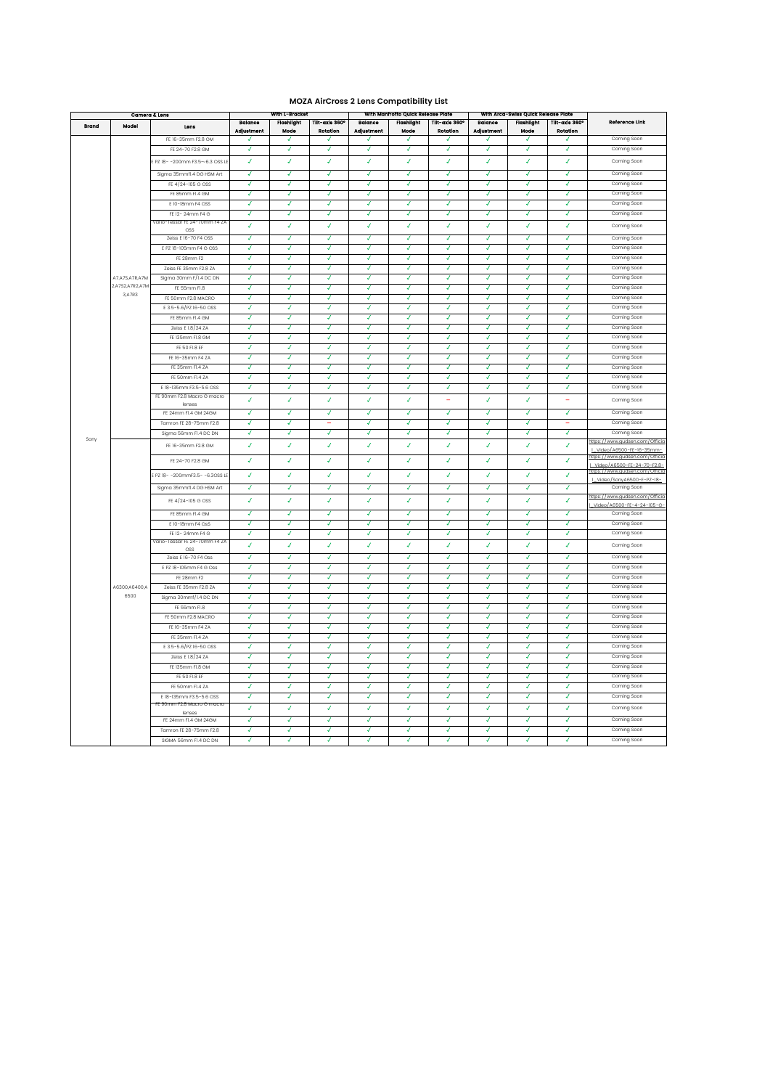## **MOZA AirCross 2 Lens Compatibility List**

| Camera & Lens |                 | With L-Bracket                                        |                       |                           | With Manfrotto Quick Release Plate |                          |                           | With Arca-Swiss Quick Release Plate |                              |                           |                            |                                                              |
|---------------|-----------------|-------------------------------------------------------|-----------------------|---------------------------|------------------------------------|--------------------------|---------------------------|-------------------------------------|------------------------------|---------------------------|----------------------------|--------------------------------------------------------------|
| Brand         | Model           | Lons                                                  | Balance<br>Adjustment | <b>Flashlight</b><br>Mode | Tilt-axls 360°<br>Rotation         | Balance<br>Adjustment    | <b>Flashlight</b><br>Mode | Tilt-axis 360°<br><b>Rotation</b>   | <b>Balance</b><br>Adjustment | <b>Flashlight</b><br>Mode | Tilt-axis 360°<br>Rotation | Reference Link                                               |
|               |                 | FE 16-35mm F2.8 GM                                    | J                     | ◢                         | u                                  | ┙                        | ┙                         | J                                   | J                            | J                         | J                          | Coming Soon                                                  |
|               |                 | FE 24-70 F2.8 GM                                      | J                     | ᢦ                         | $\overline{ }$                     | $\overline{J}$           | J                         | √                                   | √                            | √                         | √                          | Coming Soon                                                  |
|               |                 | E PZ 18- - 200mm F3.5~6.3 OSS LE                      | ¥                     | ¥                         | $\overline{I}$                     | $\overline{I}$           | V                         | J                                   | J                            | J                         | J                          | Coming Soon                                                  |
|               |                 | Sigma 35mmfl.4 DG HSM Art                             | 7                     | 7                         | 7                                  | √                        | √                         | 7                                   | √                            | √                         | 7                          | Coming Soon                                                  |
|               |                 | FE 4/24-105 G OSS                                     | 7                     | 7                         | 7                                  | 7                        | 7                         | 7                                   | 7                            | 7                         | 7                          | Coming Soon                                                  |
|               |                 | FE 85mm FI.4 GM                                       | J                     | ◢                         | √                                  | ┚                        | ◢                         | ◢                                   | J                            | J                         | J                          | Coming Soon                                                  |
|               |                 | E 10-18mm F4 OSS                                      | √                     | √                         | √                                  | √                        | √                         | √                                   | √                            | 7                         | 7                          | Coming Soon                                                  |
|               |                 | FE 12-24mm F4 G                                       | J                     | J                         | J                                  | J                        | J                         | J                                   | J                            | J                         | J                          | Coming Soon                                                  |
|               |                 | Vario-Tessar FE 24-70mm F4 ZA                         | J.                    | J.                        | ¥.                                 | V                        | V                         | V                                   | J.                           | V                         | J                          | Coming Soon                                                  |
|               |                 | OSS<br>Zeiss E 16-70 F4 OSS                           | √                     | √                         | √                                  | √                        | √                         | √                                   | √                            | √                         | √                          | Coming Soon                                                  |
|               |                 | E PZ 18-105mm F4 G OSS                                | √                     | √                         | √                                  | 4                        | √                         | √                                   | √                            | √                         | √                          | Coming Soon                                                  |
|               |                 | FE 28mm F2                                            | J                     | J                         | ┚                                  | ┚                        | ┚                         | ┚                                   | J                            | ┚                         | J                          | Coming Soon                                                  |
|               |                 | Zeiss FE 35mm F2.8 ZA                                 | 7                     | 7                         | 7                                  | 7                        | 7                         | 7                                   | 7                            | 7                         | 7                          | Coming Soon                                                  |
|               | A7,A7S,A7R,A7M  | Sigma 30mm F/I.4 DC DN                                | 7                     | 7                         | ッ                                  | ッ                        | ッ                         | 7                                   | 7                            | 7                         | 7                          | Coming Soon                                                  |
|               | 2,A7S2,A7R2,A7M | FE 55mm FI.8                                          | √                     | √                         | √                                  | √                        | √                         | √                                   | √                            | √                         | J                          | Coming Soon                                                  |
|               | 3, A 7R 3       | FE 50mm F2.8 MACRO                                    | √                     | √                         | √                                  | √                        | √                         | √                                   | √                            | √                         | √                          | Coming Soon                                                  |
|               |                 | E 3.5-5.6/PZ 16-50 OSS                                | √                     | √                         | √                                  | ¥                        | ¥                         | ¥                                   | √                            | J                         | √                          | Coming Soon                                                  |
|               |                 | FE 85mm Fl.4 GM                                       | √                     | √                         | √                                  | $\overline{\mathcal{L}}$ | √                         | √                                   | √                            | ◢                         | J                          | Coming Soon                                                  |
|               |                 | Zeiss E 1.8/24 ZA                                     | 4                     | 4                         | 4                                  | J                        | ¥                         | √                                   | J                            | J                         | J                          | Coming Soon                                                  |
|               |                 | FE 135mm FI.8 GM                                      | 7                     | 7                         | 7                                  | 7                        | 7                         | 7                                   | 7                            | 7                         | 7                          | Coming Soon                                                  |
|               |                 | FE 50 FI.8 EF                                         | J                     | ◢                         | ◢                                  | ┚                        | √                         | J                                   | J                            | J                         | J                          | Coming Soon                                                  |
|               |                 | FE 16-35mm F4 ZA                                      | √                     | √                         | √                                  | ℊ                        | ッ                         | ॼ                                   | ॼ                            | ॼ                         | J                          | Coming Soon                                                  |
|               |                 | FE 35mm FI.4 ZA                                       | J                     | J                         | J                                  | J                        | J                         | J                                   | J                            | J                         | J                          | Coming Soon                                                  |
|               |                 | FE 50mm FI.4 ZA                                       | √                     | √                         | J                                  | J                        | J                         | J                                   | ◢                            | ◢                         | J                          | Coming Soon                                                  |
|               |                 | E 18-135mm F3.5-5.6 OSS                               | √                     | 4                         | 4                                  | J                        | ¥                         | J                                   | ✓                            | ✓                         | ✓                          | Coming Soon                                                  |
|               |                 | FF 90mm F2.8 Macro G macro                            | $\boldsymbol{J}$      | $\boldsymbol{J}$          | $\overline{I}$                     | $\boldsymbol{J}$         | V                         | Ξ                                   | V                            | J                         | Ξ                          | Coming Soon                                                  |
|               |                 | lenses                                                |                       |                           |                                    |                          |                           |                                     |                              |                           |                            |                                                              |
|               |                 | FE 24mm FI.4 GM 24GM                                  | 4                     | 7                         | 7                                  | √                        | √                         | √                                   | √                            | √                         | √                          | Coming Soon                                                  |
|               |                 | Tamron FE 28-75mm F2.8                                | J                     | J                         | $=$                                | J                        | J                         | J                                   | $\overline{J}$               | $\overline{J}$            | $\equiv$                   | Coming Soon                                                  |
| Sony          |                 | Sigma 56mm FI.4 DC DN                                 | √                     | ◢                         | √                                  | J.                       | ◢                         | ◢                                   | √                            | √                         | J                          | Coming Soon                                                  |
|               |                 | FE 16-35mm F2.8 GM                                    | J                     | ¥                         | J                                  | V                        | v                         | J                                   | v                            | v                         | J                          | https://www.gudsen.com/Officio<br>  Video/A6500-FE-16-35mm-  |
|               |                 | FE 24-70 F2.8 GM                                      | √                     | √                         | √                                  | V                        | V                         | J                                   | J                            | J                         | J                          | https://www.gudsen.com/Officio<br>Video/A6500-FE-24-70-F2.8- |
|               |                 | E PZ 18- -200mmF3.5- -6.3OSS LE                       | 4                     | J.                        | J                                  | J                        | J                         | J                                   | J                            | J                         | J                          | https://www.gudsen.com/Officia<br>L Video/SonyA6500-E-PZ-18- |
|               |                 | Sigma 35mmfl.4 DG HSM Art                             | ◢                     | √                         | √                                  | √                        | √                         | √                                   | √                            | √                         | √                          | Coming Soon                                                  |
|               |                 | FE 4/24-105 G OSS                                     | V                     | ¥                         | $\overline{I}$                     | ¥                        | ¥                         | V                                   | V                            | V                         | J                          | https://www.audsen.com/Officia                               |
|               |                 |                                                       | ◢                     | J                         | ◢                                  | √                        | √                         | J                                   | J                            | J                         | J                          | Video/A6500-FE-4-24-105-G-<br>Coming Soon                    |
|               |                 | FE 85mm Fl.4 GM<br>E 10-18mm F4 OsS                   | √                     | J                         | J                                  | J                        | J                         | J                                   | J                            | J                         | √                          | Coming Soon                                                  |
|               |                 |                                                       | J                     | 7                         | ッ                                  | J                        | J                         | ッ                                   | J                            | 7                         | 7                          | Coming Soon                                                  |
|               |                 | FE 12-24mm F4 G<br>Vario-Tessar FE 24-70mm F4 ZA      |                       |                           |                                    |                          |                           |                                     |                              |                           |                            |                                                              |
|               |                 | OSS                                                   | ¥                     | ¥                         | ¥                                  | ¥                        | ¥                         | ¥                                   | ¥                            | ¥                         | J                          | Coming Soon                                                  |
|               |                 | Zeiss E 16-70 F4 Oss                                  | J                     | J                         | J                                  | J                        | J                         | J                                   | J                            | $\overline{J}$            | J                          | Coming Soon                                                  |
|               |                 | E PZ 18-105mm F4 G Oss                                | J                     | J                         | J                                  | ◢                        | J                         | ॼ                                   | ᢦ                            | ᢦ                         | ℊ                          | Coming Soon                                                  |
|               |                 | FE 28mm F2                                            | √                     | √                         | √                                  | √                        | J                         | J                                   | J                            | J                         | J                          | Coming Soon                                                  |
|               | A6300,A6400,A   | Zeiss FE 35mm F2.8 ZA                                 | ◢<br>7                | ◢<br>7                    | $\overline{\mathcal{L}}$<br>7      | $\overline{ }$<br>ᢦ      | ◢<br>7                    | ◢<br>7                              | $\overline{ }$<br>7          | $\overline{ }$<br>7       | ◢<br>7                     | Coming Soon                                                  |
|               | 6500            | Sigma 30mmf/1.4 DC DN                                 |                       |                           |                                    |                          |                           |                                     |                              |                           |                            | Coming Soon                                                  |
|               |                 | FE 55mm FI.8                                          | J                     | J                         | 7                                  | 7<br>J                   | J<br>J                    | 7<br>J                              | 7                            | 7                         | 7                          | Coming Soon                                                  |
|               |                 | FE 50mm F2.8 MACRO                                    | J                     | J                         | J                                  |                          |                           |                                     | J                            | J                         | J                          | Coming Soon                                                  |
|               |                 | FE 16-35mm F4 ZA                                      | ॼ                     | ॼ                         | ॼ                                  | ॼ                        | ॼ                         | ᢦ                                   | ⊽<br>7                       | ᢦ<br>7                    | ⊽                          | Coming Soon                                                  |
|               |                 | FE 35mm FI.4 ZA                                       | J                     | J                         | J                                  | J                        | J                         | J                                   |                              |                           | J                          | Coming Soon                                                  |
|               |                 | E 3.5-5.6/PZ 16-50 OSS                                | $\overline{ }$        | ◢                         | $\overline{\mathcal{L}}$           | ◢                        | J                         | ◢                                   | $\overline{J}$               | J                         | J                          | Coming Soon                                                  |
|               |                 | Zeiss E 1.8/24 ZA                                     | ₽                     | 7                         | 7                                  | √                        | ✓                         | √                                   | ✓                            | √                         | √                          | Coming Soon                                                  |
|               |                 | FE 135mm FI.8 GM                                      | √                     | √                         | √                                  | √                        | √                         | √                                   | √                            | √                         | √                          | Coming Soon                                                  |
|               |                 | FE 50 FI.8 EF<br>FE 50mm FL4 ZA                       | ◢<br>7                | J<br>7                    | J<br>7                             | J<br>7                   | J<br>7                    | J<br>7                              | J<br>7                       | J<br>7                    | J<br>7                     | Coming Soon                                                  |
|               |                 |                                                       |                       |                           |                                    |                          |                           |                                     |                              |                           |                            | Coming Soon                                                  |
|               |                 | E 18-135mm F3.5-5.6 OSS<br>FE 90mm F2.8 Macro G macro | 7                     | 7                         | 7                                  | 7                        | 7                         | 7                                   | 7                            | 7                         | √                          | Coming Soon                                                  |
|               |                 | lenses                                                | J                     | ¥                         | ¥                                  | ¥                        | ¥                         | J                                   | V                            | J                         | J                          | Coming Soon                                                  |
|               |                 | FE 24mm FI.4 GM 24GM                                  | √                     | √                         | √                                  | √                        | √                         | √                                   | ॼ                            | √                         | √                          | Coming Soon                                                  |
|               |                 | Tamron FE 28-75mm F2.8                                | √                     | √                         | √                                  | √                        | √                         | √                                   | √                            | √                         | √                          | Coming Soon                                                  |
|               |                 | SIGMA 56mm EL4 DC DN                                  | J                     | 7                         | 7                                  | 7                        | ッ                         | 7                                   | 7                            | 7                         | ⊽                          | Coming Soon                                                  |